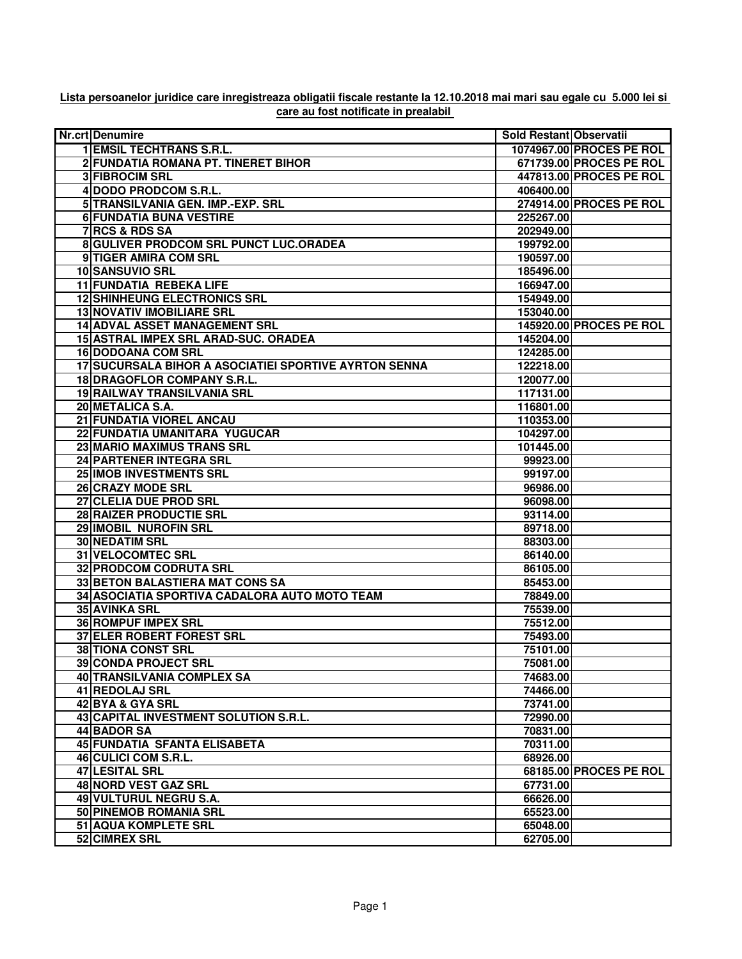## **Lista persoanelor juridice care inregistreaza obligatii fiscale restante la 12.10.2018 mai mari sau egale cu 5.000 lei si care au fost notificate in prealabil**

| Nr.crt Denumire                                       | Sold Restant Observatii |                          |
|-------------------------------------------------------|-------------------------|--------------------------|
| <b>1 EMSIL TECHTRANS S.R.L.</b>                       |                         | 1074967.00 PROCES PE ROL |
| 2 FUNDATIA ROMANA PT. TINERET BIHOR                   |                         | 671739.00 PROCES PE ROL  |
| <b>3 FIBROCIM SRL</b>                                 |                         | 447813.00 PROCES PE ROL  |
| 4 DODO PRODCOM S.R.L.                                 | 406400.00               |                          |
| 5 TRANSILVANIA GEN. IMP.-EXP. SRL                     |                         | 274914.00 PROCES PE ROL  |
| <b>6 FUNDATIA BUNA VESTIRE</b>                        | 225267.00               |                          |
| 7 RCS & RDS SA                                        | 202949.00               |                          |
| 8 GULIVER PRODCOM SRL PUNCT LUC.ORADEA                | 199792.00               |                          |
| 9 TIGER AMIRA COM SRL                                 | 190597.00               |                          |
| 10 SANSUVIO SRL                                       | 185496.00               |                          |
| <b>11 FUNDATIA REBEKA LIFE</b>                        | 166947.00               |                          |
| <b>12 SHINHEUNG ELECTRONICS SRL</b>                   | 154949.00               |                          |
| <b>13 NOVATIV IMOBILIARE SRL</b>                      | 153040.00               |                          |
| <b>14 ADVAL ASSET MANAGEMENT SRL</b>                  |                         | 145920.00 PROCES PE ROL  |
| 15 ASTRAL IMPEX SRL ARAD-SUC. ORADEA                  | 145204.00               |                          |
| <b>16 DODOANA COM SRL</b>                             | 124285.00               |                          |
| 17 SUCURSALA BIHOR A ASOCIATIEI SPORTIVE AYRTON SENNA | 122218.00               |                          |
| 18 DRAGOFLOR COMPANY S.R.L.                           | 120077.00               |                          |
| 19 RAILWAY TRANSILVANIA SRL                           | 117131.00               |                          |
| 20 METALICA S.A.                                      | 116801.00               |                          |
| 21 FUNDATIA VIOREL ANCAU                              | 110353.00               |                          |
| 22 FUNDATIA UMANITARA YUGUCAR                         | 104297.00               |                          |
| 23 MARIO MAXIMUS TRANS SRL                            |                         |                          |
|                                                       | 101445.00               |                          |
| 24 PARTENER INTEGRA SRL                               | 99923.00                |                          |
| 25 IMOB INVESTMENTS SRL                               | 99197.00                |                          |
| 26 CRAZY MODE SRL                                     | 96986.00                |                          |
| 27 CLELIA DUE PROD SRL                                | 96098.00                |                          |
| 28 RAIZER PRODUCTIE SRL<br>29 IMOBIL NUROFIN SRL      | 93114.00                |                          |
|                                                       | 89718.00                |                          |
| <b>30 NEDATIM SRL</b>                                 | 88303.00                |                          |
| <b>31 VELOCOMTEC SRL</b>                              | 86140.00                |                          |
| 32 PRODCOM CODRUTA SRL                                | 86105.00                |                          |
| <b>33 BETON BALASTIERA MAT CONS SA</b>                | 85453.00                |                          |
| 34 ASOCIATIA SPORTIVA CADALORA AUTO MOTO TEAM         | 78849.00                |                          |
| <b>35 AVINKA SRL</b>                                  | 75539.00                |                          |
| <b>36 ROMPUF IMPEX SRL</b>                            | 75512.00                |                          |
| <b>37 ELER ROBERT FOREST SRL</b>                      | 75493.00                |                          |
| <b>38 TIONA CONST SRL</b>                             | 75101.00                |                          |
| 39 CONDA PROJECT SRL                                  | 75081.00                |                          |
| 40 TRANSILVANIA COMPLEX SA                            | 74683.00                |                          |
| 41 REDOLAJ SRL                                        | 74466.00                |                          |
| 42 BYA & GYA SRL                                      | 73741.00                |                          |
| 43 CAPITAL INVESTMENT SOLUTION S.R.L.                 | 72990.00                |                          |
| <b>44 BADOR SA</b>                                    | 70831.00                |                          |
| 45 FUNDATIA SFANTA ELISABETA                          | 70311.00                |                          |
| 46 CULICI COM S.R.L.                                  | 68926.00                |                          |
| 47 LESITAL SRL                                        |                         | 68185.00 PROCES PE ROL   |
| 48 NORD VEST GAZ SRL                                  | 67731.00                |                          |
| 49 VULTURUL NEGRU S.A.                                | 66626.00                |                          |
| 50 PINEMOB ROMANIA SRL                                | 65523.00                |                          |
| <b>51 AQUA KOMPLETE SRL</b>                           | 65048.00                |                          |
| 52 CIMREX SRL                                         | 62705.00                |                          |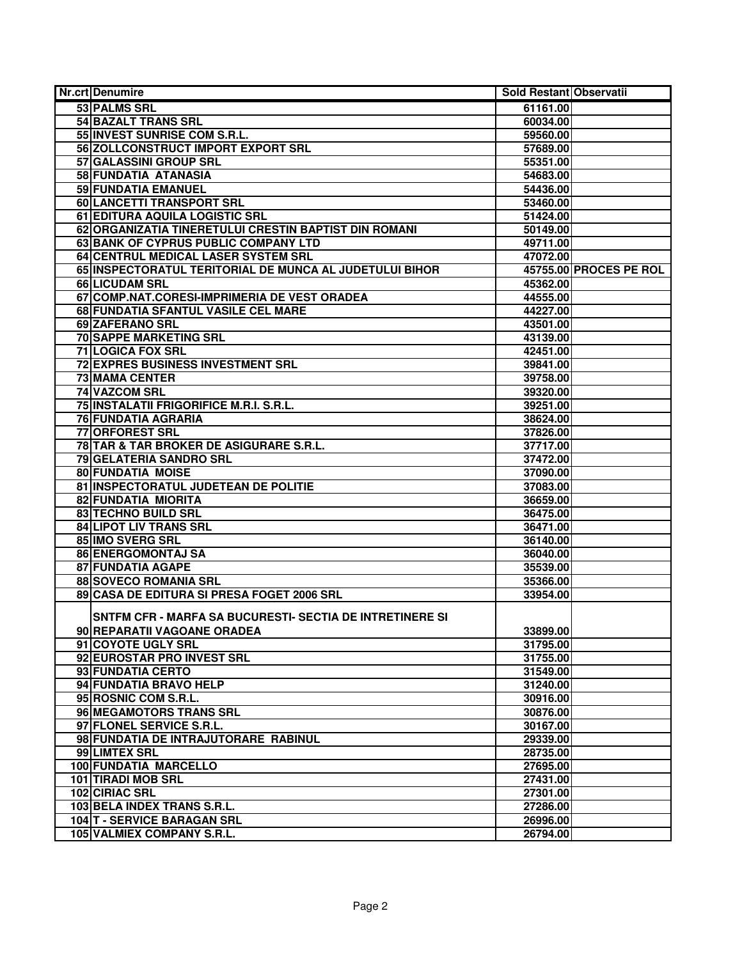| <b>Nr.crt Denumire</b>                                   | Sold Restant Observatii |                        |
|----------------------------------------------------------|-------------------------|------------------------|
| 53 PALMS SRL                                             | 61161.00                |                        |
| <b>54 BAZALT TRANS SRL</b>                               | 60034.00                |                        |
| 55 INVEST SUNRISE COM S.R.L.                             | 59560.00                |                        |
| 56 ZOLLCONSTRUCT IMPORT EXPORT SRL                       | 57689.00                |                        |
| 57 GALASSINI GROUP SRL                                   | 55351.00                |                        |
| 58 FUNDATIA ATANASIA                                     | 54683.00                |                        |
| <b>59 FUNDATIA EMANUEL</b>                               | 54436.00                |                        |
| 60 LANCETTI TRANSPORT SRL                                | 53460.00                |                        |
| 61 EDITURA AQUILA LOGISTIC SRL                           | 51424.00                |                        |
| 62 ORGANIZATIA TINERETULUI CRESTIN BAPTIST DIN ROMANI    | 50149.00                |                        |
| 63 BANK OF CYPRUS PUBLIC COMPANY LTD                     | 49711.00                |                        |
| 64 CENTRUL MEDICAL LASER SYSTEM SRL                      | 47072.00                |                        |
| 65 INSPECTORATUL TERITORIAL DE MUNCA AL JUDETULUI BIHOR  |                         | 45755.00 PROCES PE ROL |
| 66 LICUDAM SRL                                           | 45362.00                |                        |
| 67 COMP.NAT.CORESI-IMPRIMERIA DE VEST ORADEA             | 44555.00                |                        |
| 68 FUNDATIA SFANTUL VASILE CEL MARE                      | 44227.00                |                        |
| 69 ZAFERANO SRL                                          | 43501.00                |                        |
| <b>70 SAPPE MARKETING SRL</b>                            | 43139.00                |                        |
| <b>71 LOGICA FOX SRL</b>                                 | 42451.00                |                        |
| 72 EXPRES BUSINESS INVESTMENT SRL                        | 39841.00                |                        |
| <b>73 MAMA CENTER</b>                                    | 39758.00                |                        |
| 74 VAZCOM SRL                                            | 39320.00                |                        |
| 75 INSTALATII FRIGORIFICE M.R.I. S.R.L.                  | 39251.00                |                        |
| <b>76 FUNDATIA AGRARIA</b>                               | 38624.00                |                        |
| 77 ORFOREST SRL                                          | 37826.00                |                        |
| 78 TAR & TAR BROKER DE ASIGURARE S.R.L.                  | 37717.00                |                        |
| 79 GELATERIA SANDRO SRL                                  | 37472.00                |                        |
| <b>80 FUNDATIA MOISE</b>                                 | 37090.00                |                        |
| 81 INSPECTORATUL JUDETEAN DE POLITIE                     | 37083.00                |                        |
| 82 FUNDATIA MIORITA                                      | 36659.00                |                        |
| 83 TECHNO BUILD SRL                                      | 36475.00                |                        |
| <b>84 LIPOT LIV TRANS SRL</b>                            | 36471.00                |                        |
| 85 IMO SVERG SRL                                         | 36140.00                |                        |
| 86 ENERGOMONTAJ SA                                       | 36040.00                |                        |
|                                                          |                         |                        |
| 87 FUNDATIA AGAPE                                        | 35539.00                |                        |
| <b>88 SOVECO ROMANIA SRL</b>                             | 35366.00                |                        |
| 89 CASA DE EDITURA SI PRESA FOGET 2006 SRL               | 33954.00                |                        |
| SNTFM CFR - MARFA SA BUCURESTI- SECTIA DE INTRETINERE SI |                         |                        |
| 90 REPARATII VAGOANE ORADEA                              | 33899.00                |                        |
| 91 COYOTE UGLY SRL                                       | 31795.00                |                        |
| 92 EUROSTAR PRO INVEST SRL                               | 31755.00                |                        |
| 93 FUNDATIA CERTO                                        | 31549.00                |                        |
| 94 FUNDATIA BRAVO HELP                                   | 31240.00                |                        |
| 95 ROSNIC COM S.R.L.                                     | 30916.00                |                        |
| 96 MEGAMOTORS TRANS SRL                                  | 30876.00                |                        |
| 97 FLONEL SERVICE S.R.L.                                 | 30167.00                |                        |
| 98 FUNDATIA DE INTRAJUTORARE RABINUL                     | 29339.00                |                        |
| 99 LIMTEX SRL                                            | 28735.00                |                        |
| 100 FUNDATIA MARCELLO                                    | 27695.00                |                        |
| <b>101 TIRADI MOB SRL</b>                                | 27431.00                |                        |
|                                                          |                         |                        |
| 102 CIRIAC SRL                                           | 27301.00                |                        |
| 103 BELA INDEX TRANS S.R.L.                              | 27286.00                |                        |
| 104 T - SERVICE BARAGAN SRL                              | 26996.00                |                        |
| 105 VALMIEX COMPANY S.R.L.                               | 26794.00                |                        |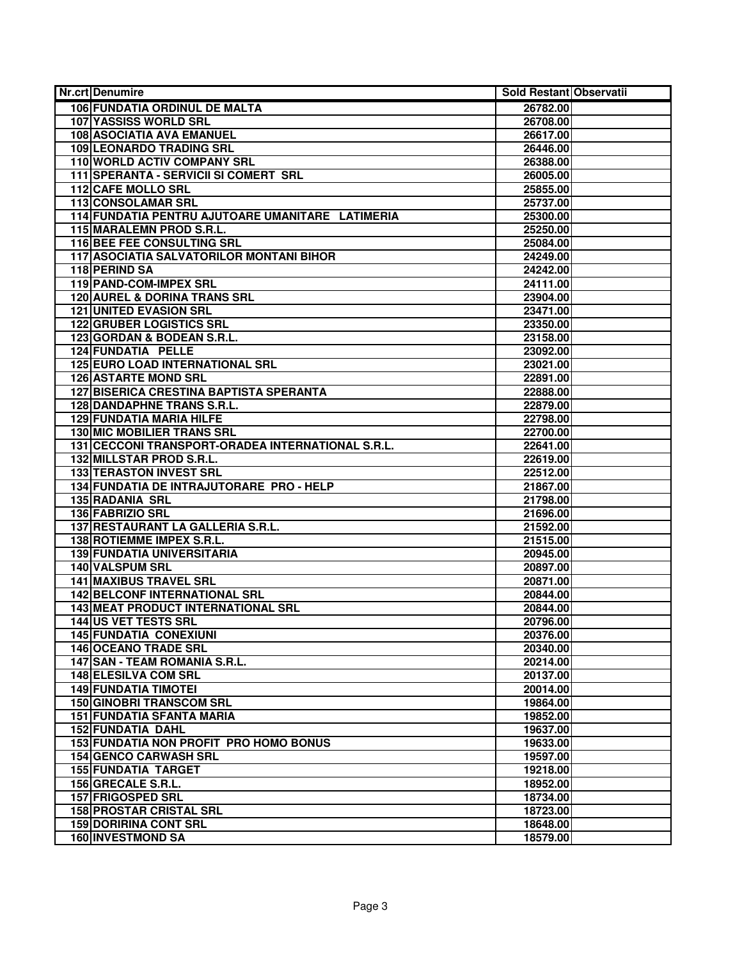| <b>Nr.crt Denumire</b>                            | Sold Restant Observatii |
|---------------------------------------------------|-------------------------|
| <b>106 FUNDATIA ORDINUL DE MALTA</b>              | 26782.00                |
| <b>107 YASSISS WORLD SRL</b>                      | 26708.00                |
| 108 ASOCIATIA AVA EMANUEL                         | 26617.00                |
| <b>109 LEONARDO TRADING SRL</b>                   | 26446.00                |
| 110 WORLD ACTIV COMPANY SRL                       | 26388.00                |
| 111 SPERANTA - SERVICII SI COMERT SRL             | 26005.00                |
| <b>112 CAFE MOLLO SRL</b>                         | 25855.00                |
| 113 CONSOLAMAR SRL                                | 25737.00                |
| 114 FUNDATIA PENTRU AJUTOARE UMANITARE LATIMERIA  | 25300.00                |
| 115 MARALEMN PROD S.R.L.                          | 25250.00                |
| <b>116 BEE FEE CONSULTING SRL</b>                 | 25084.00                |
| 117 ASOCIATIA SALVATORILOR MONTANI BIHOR          | 24249.00                |
| 118 PERIND SA                                     | 24242.00                |
| 119 PAND-COM-IMPEX SRL                            | 24111.00                |
| <b>120 AUREL &amp; DORINA TRANS SRL</b>           | 23904.00                |
| <b>121 UNITED EVASION SRL</b>                     |                         |
| <b>122 GRUBER LOGISTICS SRL</b>                   | 23471.00                |
|                                                   | 23350.00                |
| 123 GORDAN & BODEAN S.R.L.                        | 23158.00                |
| 124 FUNDATIA PELLE                                | 23092.00                |
| <b>125 EURO LOAD INTERNATIONAL SRL</b>            | 23021.00                |
| <b>126 ASTARTE MOND SRL</b>                       | 22891.00                |
| <b>127 BISERICA CRESTINA BAPTISTA SPERANTA</b>    | 22888.00                |
| <b>128 DANDAPHNE TRANS S.R.L.</b>                 | 22879.00                |
| <b>129 FUNDATIA MARIA HILFE</b>                   | 22798.00                |
| <b>130 MIC MOBILIER TRANS SRL</b>                 | 22700.00                |
| 131 CECCONI TRANSPORT-ORADEA INTERNATIONAL S.R.L. | 22641.00                |
| 132 MILLSTAR PROD S.R.L.                          | 22619.00                |
| <b>133 TERASTON INVEST SRL</b>                    | 22512.00                |
| 134 FUNDATIA DE INTRAJUTORARE PRO - HELP          | 21867.00                |
| <b>135 RADANIA SRL</b>                            | 21798.00                |
| 136 FABRIZIO SRL                                  | 21696.00                |
| 137 RESTAURANT LA GALLERIA S.R.L.                 | 21592.00                |
| 138 ROTIEMME IMPEX S.R.L.                         | 21515.00                |
| <b>139 FUNDATIA UNIVERSITARIA</b>                 | 20945.00                |
| <b>140 VALSPUM SRL</b>                            | 20897.00                |
| <b>141 MAXIBUS TRAVEL SRL</b>                     | 20871.00                |
| <b>142 BELCONF INTERNATIONAL SRL</b>              | 20844.00                |
| <b>143 MEAT PRODUCT INTERNATIONAL SRL</b>         | 20844.00                |
| 144 US VET TESTS SRL                              | 20796.00                |
| <b>145 FUNDATIA CONEXIUNI</b>                     | 20376.00                |
| 146 OCEANO TRADE SRL                              | 20340.00                |
| 147 SAN - TEAM ROMANIA S.R.L.                     | 20214.00                |
| <b>148 ELESILVA COM SRL</b>                       | 20137.00                |
| <b>149 FUNDATIA TIMOTEI</b>                       | 20014.00                |
| <b>150 GINOBRI TRANSCOM SRL</b>                   | 19864.00                |
| <b>151 FUNDATIA SFANTA MARIA</b>                  | 19852.00                |
| 152 FUNDATIA DAHL                                 | 19637.00                |
| 153 FUNDATIA NON PROFIT PRO HOMO BONUS            | 19633.00                |
| <b>154 GENCO CARWASH SRL</b>                      | 19597.00                |
| <b>155 FUNDATIA TARGET</b>                        | 19218.00                |
| 156 GRECALE S.R.L.                                | 18952.00                |
| <b>157 FRIGOSPED SRL</b>                          | 18734.00                |
| <b>158 PROSTAR CRISTAL SRL</b>                    | 18723.00                |
| <b>159 DORIRINA CONT SRL</b>                      | 18648.00                |
| 160 INVESTMOND SA                                 | 18579.00                |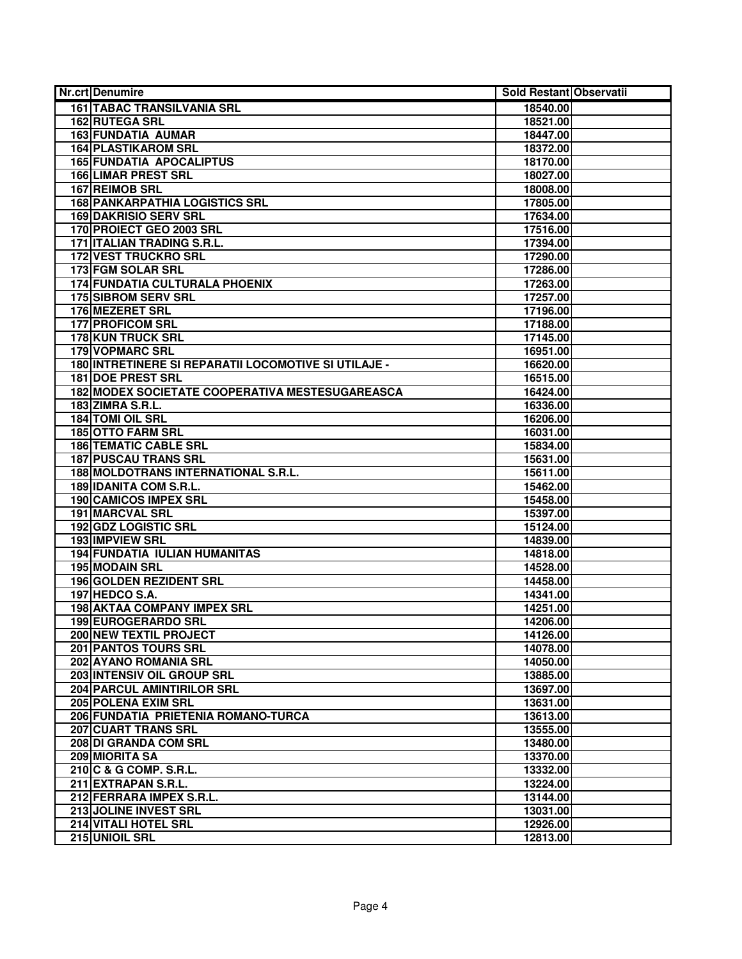| <b>Nr.crt Denumire</b>                                   | Sold Restant Observatii |  |
|----------------------------------------------------------|-------------------------|--|
| <b>161 TABAC TRANSILVANIA SRL</b>                        | 18540.00                |  |
| 162 RUTEGA SRL                                           | 18521.00                |  |
| <b>163 FUNDATIA AUMAR</b>                                | 18447.00                |  |
| <b>164 PLASTIKAROM SRL</b>                               | 18372.00                |  |
| <b>165 FUNDATIA APOCALIPTUS</b>                          | 18170.00                |  |
| <b>166 LIMAR PREST SRL</b>                               | 18027.00                |  |
| 167 REIMOB SRL                                           | 18008.00                |  |
| <b>168 PANKARPATHIA LOGISTICS SRL</b>                    | 17805.00                |  |
| <b>169 DAKRISIO SERV SRL</b>                             | 17634.00                |  |
| 170 PROIECT GEO 2003 SRL                                 | 17516.00                |  |
| 171   ITALIAN TRADING S.R.L.                             | 17394.00                |  |
| <b>172 VEST TRUCKRO SRL</b>                              | 17290.00                |  |
| 173 FGM SOLAR SRL                                        | 17286.00                |  |
| 174 FUNDATIA CULTURALA PHOENIX                           | 17263.00                |  |
| <b>175 SIBROM SERV SRL</b>                               | 17257.00                |  |
| 176 MEZERET SRL                                          | 17196.00                |  |
| <b>177 PROFICOM SRL</b>                                  | 17188.00                |  |
| <b>178 KUN TRUCK SRL</b>                                 | 17145.00                |  |
| <b>179 VOPMARC SRL</b>                                   | 16951.00                |  |
| 180 INTRETINERE SI REPARATII LOCOMOTIVE SI UTILAJE -     | 16620.00                |  |
| <b>181 DOE PREST SRL</b>                                 | 16515.00                |  |
| 182 MODEX SOCIETATE COOPERATIVA MESTESUGAREASCA          | 16424.00                |  |
| 183 ZIMRA S.R.L.                                         | 16336.00                |  |
| 184 TOMI OIL SRL                                         | 16206.00                |  |
| <b>185 OTTO FARM SRL</b><br><b>186 TEMATIC CABLE SRL</b> | 16031.00                |  |
| <b>187 PUSCAU TRANS SRL</b>                              | 15834.00<br>15631.00    |  |
| 188 MOLDOTRANS INTERNATIONAL S.R.L.                      | 15611.00                |  |
| 189 IDANITA COM S.R.L.                                   | 15462.00                |  |
| 190 CAMICOS IMPEX SRL                                    | 15458.00                |  |
| <b>191 MARCVAL SRL</b>                                   | 15397.00                |  |
| 192 GDZ LOGISTIC SRL                                     | 15124.00                |  |
| <b>193 IMPVIEW SRL</b>                                   | 14839.00                |  |
| <b>194 FUNDATIA IULIAN HUMANITAS</b>                     | 14818.00                |  |
| 195 MODAIN SRL                                           | 14528.00                |  |
| 196 GOLDEN REZIDENT SRL                                  | 14458.00                |  |
| 197 HEDCO S.A.                                           | 14341.00                |  |
| 198 AKTAA COMPANY IMPEX SRL                              | 14251.00                |  |
| 199 EUROGERARDO SRL                                      | 14206.00                |  |
| 200 NEW TEXTIL PROJECT                                   | 14126.00                |  |
| 201 PANTOS TOURS SRL                                     | 14078.00                |  |
| 202 AYANO ROMANIA SRL                                    | 14050.00                |  |
| 203 INTENSIV OIL GROUP SRL                               | 13885.00                |  |
| <b>204 PARCUL AMINTIRILOR SRL</b>                        | 13697.00                |  |
| 205 POLENA EXIM SRL                                      | 13631.00                |  |
| 206 FUNDATIA PRIETENIA ROMANO-TURCA                      | 13613.00                |  |
| 207 CUART TRANS SRL                                      | 13555.00                |  |
| 208 DI GRANDA COM SRL                                    | 13480.00                |  |
| 209 MIORITA SA                                           | 13370.00                |  |
| 210 C & G COMP. S.R.L.                                   | 13332.00                |  |
| 211 EXTRAPAN S.R.L.                                      | 13224.00                |  |
| 212 FERRARA IMPEX S.R.L.                                 | 13144.00                |  |
| 213 JOLINE INVEST SRL                                    | 13031.00                |  |
| 214 VITALI HOTEL SRL                                     | 12926.00                |  |
| 215 UNIOIL SRL                                           | 12813.00                |  |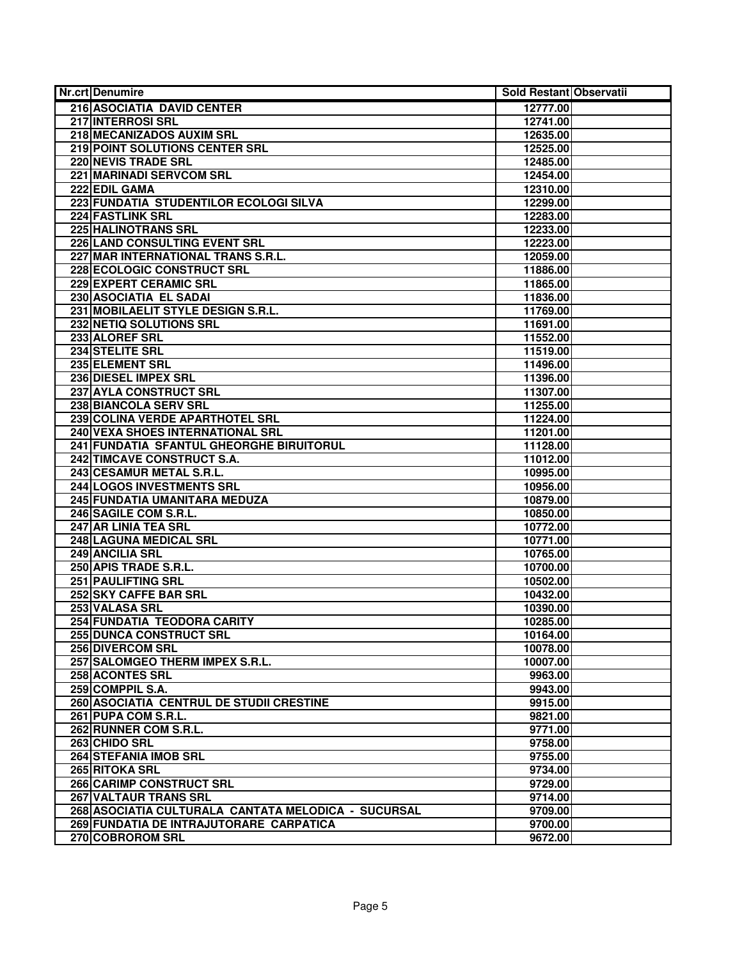| <b>Nr.crt Denumire</b>                              | Sold Restant Observatii |  |
|-----------------------------------------------------|-------------------------|--|
| 216 ASOCIATIA DAVID CENTER                          | 12777.00                |  |
| 217 INTERROSI SRL                                   | 12741.00                |  |
| 218 MECANIZADOS AUXIM SRL                           | 12635.00                |  |
| 219 POINT SOLUTIONS CENTER SRL                      | 12525.00                |  |
| <b>220 NEVIS TRADE SRL</b>                          | 12485.00                |  |
| <b>221 MARINADI SERVCOM SRL</b>                     | 12454.00                |  |
| 222 EDIL GAMA                                       | 12310.00                |  |
| 223 FUNDATIA STUDENTILOR ECOLOGI SILVA              | 12299.00                |  |
| <b>224 FASTLINK SRL</b>                             | 12283.00                |  |
| <b>225 HALINOTRANS SRL</b>                          | 12233.00                |  |
| 226 LAND CONSULTING EVENT SRL                       | 12223.00                |  |
| 227 MAR INTERNATIONAL TRANS S.R.L.                  | 12059.00                |  |
| 228 ECOLOGIC CONSTRUCT SRL                          | 11886.00                |  |
| 229 EXPERT CERAMIC SRL                              | 11865.00                |  |
| 230 ASOCIATIA EL SADAI                              | 11836.00                |  |
| 231 MOBILAELIT STYLE DESIGN S.R.L.                  | 11769.00                |  |
| 232 NETIQ SOLUTIONS SRL                             | 11691.00                |  |
| 233 ALOREF SRL                                      | 11552.00                |  |
| 234 STELITE SRL                                     | 11519.00                |  |
| 235 ELEMENT SRL                                     | 11496.00                |  |
| 236 DIESEL IMPEX SRL                                | 11396.00                |  |
| 237 AYLA CONSTRUCT SRL                              | 11307.00                |  |
| <b>238 BIANCOLA SERV SRL</b>                        | 11255.00                |  |
| 239 COLINA VERDE APARTHOTEL SRL                     | 11224.00                |  |
| 240 VEXA SHOES INTERNATIONAL SRL                    | 11201.00                |  |
| 241 FUNDATIA SFANTUL GHEORGHE BIRUITORUL            | 11128.00                |  |
| 242 TIMCAVE CONSTRUCT S.A.                          | 11012.00                |  |
| 243 CESAMUR METAL S.R.L.                            | 10995.00                |  |
| 244 LOGOS INVESTMENTS SRL                           | 10956.00                |  |
| 245 FUNDATIA UMANITARA MEDUZA                       | 10879.00                |  |
| 246 SAGILE COM S.R.L.                               | 10850.00                |  |
| 247 AR LINIA TEA SRL                                | 10772.00                |  |
| 248 LAGUNA MEDICAL SRL                              | 10771.00                |  |
| 249 ANCILIA SRL                                     | 10765.00                |  |
| 250 APIS TRADE S.R.L.                               | 10700.00                |  |
| <b>251 PAULIFTING SRL</b>                           | 10502.00                |  |
| 252 SKY CAFFE BAR SRL                               | 10432.00                |  |
| 253 VALASA SRL                                      | 10390.00                |  |
| 254 FUNDATIA TEODORA CARITY                         | 10285.00                |  |
| 255 DUNCA CONSTRUCT SRL                             | 10164.00                |  |
| 256 DIVERCOM SRL                                    | 10078.00                |  |
| 257 SALOMGEO THERM IMPEX S.R.L.                     | 10007.00                |  |
| 258 ACONTES SRL                                     | 9963.00                 |  |
| 259 COMPPIL S.A.                                    | 9943.00                 |  |
| 260 ASOCIATIA CENTRUL DE STUDII CRESTINE            | 9915.00                 |  |
| 261 PUPA COM S.R.L.                                 | 9821.00                 |  |
| 262 RUNNER COM S.R.L.                               | 9771.00                 |  |
| 263 CHIDO SRL                                       | 9758.00                 |  |
| <b>264 STEFANIA IMOB SRL</b>                        | 9755.00                 |  |
| 265 RITOKA SRL                                      | 9734.00                 |  |
| 266 CARIMP CONSTRUCT SRL                            | 9729.00                 |  |
| 267 VALTAUR TRANS SRL                               | 9714.00                 |  |
| 268 ASOCIATIA CULTURALA CANTATA MELODICA - SUCURSAL | 9709.00                 |  |
| 269 FUNDATIA DE INTRAJUTORARE CARPATICA             | 9700.00                 |  |
| 270 COBROROM SRL                                    | 9672.00                 |  |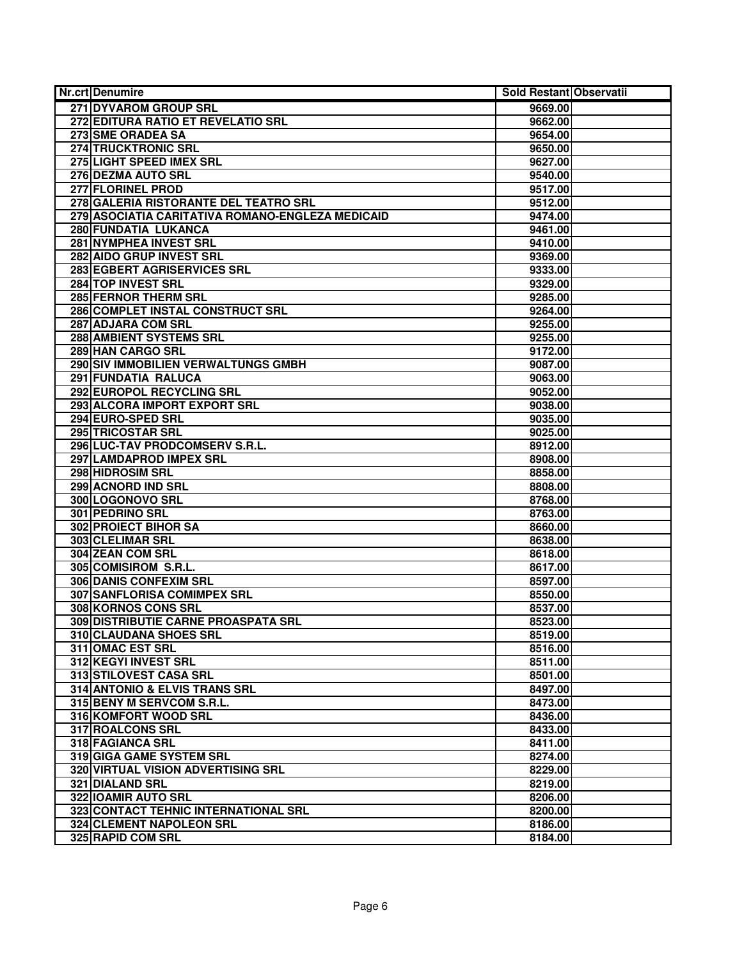| Nr.crt Denumire                                  | Sold Restant Observatii |  |
|--------------------------------------------------|-------------------------|--|
| 271 DYVAROM GROUP SRL                            | 9669.00                 |  |
| 272 EDITURA RATIO ET REVELATIO SRL               | 9662.00                 |  |
| 273 SME ORADEA SA                                | 9654.00                 |  |
| <b>274 TRUCKTRONIC SRL</b>                       | 9650.00                 |  |
| 275 LIGHT SPEED IMEX SRL                         | 9627.00                 |  |
| 276 DEZMA AUTO SRL                               | 9540.00                 |  |
| <b>277 FLORINEL PROD</b>                         | 9517.00                 |  |
| 278 GALERIA RISTORANTE DEL TEATRO SRL            | 9512.00                 |  |
| 279 ASOCIATIA CARITATIVA ROMANO-ENGLEZA MEDICAID | 9474.00                 |  |
| <b>280 FUNDATIA LUKANCA</b>                      | 9461.00                 |  |
| 281 NYMPHEA INVEST SRL                           | 9410.00                 |  |
| 282 AIDO GRUP INVEST SRL                         | 9369.00                 |  |
| 283 EGBERT AGRISERVICES SRL                      | 9333.00                 |  |
| 284 TOP INVEST SRL                               | 9329.00                 |  |
| <b>285 FERNOR THERM SRL</b>                      | 9285.00                 |  |
| 286 COMPLET INSTAL CONSTRUCT SRL                 | 9264.00                 |  |
| 287 ADJARA COM SRL                               | 9255.00                 |  |
| <b>288 AMBIENT SYSTEMS SRL</b>                   | 9255.00                 |  |
| 289 HAN CARGO SRL                                | 9172.00                 |  |
| 290 SIV IMMOBILIEN VERWALTUNGS GMBH              | 9087.00                 |  |
| 291 FUNDATIA RALUCA                              | 9063.00                 |  |
| 292 EUROPOL RECYCLING SRL                        | 9052.00                 |  |
| 293 ALCORA IMPORT EXPORT SRL                     | 9038.00                 |  |
| 294 EURO-SPED SRL                                | 9035.00                 |  |
| 295 TRICOSTAR SRL                                | 9025.00                 |  |
| 296 LUC-TAV PRODCOMSERV S.R.L.                   | 8912.00                 |  |
| 297 LAMDAPROD IMPEX SRL                          | 8908.00                 |  |
| <b>298 HIDROSIM SRL</b>                          | 8858.00                 |  |
| 299 ACNORD IND SRL                               | 8808.00                 |  |
| 300 LOGONOVO SRL                                 | 8768.00                 |  |
| 301 PEDRINO SRL                                  | 8763.00                 |  |
| <b>302 PROIECT BIHOR SA</b>                      | 8660.00                 |  |
| 303 CLELIMAR SRL                                 | 8638.00                 |  |
| 304 ZEAN COM SRL                                 | 8618.00                 |  |
| 305 COMISIROM S.R.L.                             | 8617.00                 |  |
| <b>306 DANIS CONFEXIM SRL</b>                    | 8597.00                 |  |
| 307 SANFLORISA COMIMPEX SRL                      | 8550.00                 |  |
| 308 KORNOS CONS SRL                              | 8537.00                 |  |
| 309 DISTRIBUTIE CARNE PROASPATA SRL              | 8523.00                 |  |
| 310 CLAUDANA SHOES SRL                           | 8519.00                 |  |
| 311 OMAC EST SRL                                 | 8516.00                 |  |
| 312 KEGYI INVEST SRL                             | 8511.00                 |  |
| 313 STILOVEST CASA SRL                           | 8501.00                 |  |
| 314 ANTONIO & ELVIS TRANS SRL                    | 8497.00                 |  |
| 315 BENY M SERVCOM S.R.L.                        | 8473.00                 |  |
| 316 KOMFORT WOOD SRL                             | 8436.00                 |  |
| 317 ROALCONS SRL                                 | 8433.00                 |  |
| <b>318 FAGIANCA SRL</b>                          | 8411.00                 |  |
| 319 GIGA GAME SYSTEM SRL                         | 8274.00                 |  |
| 320 VIRTUAL VISION ADVERTISING SRL               | 8229.00                 |  |
| 321 DIALAND SRL                                  | 8219.00                 |  |
| 322 IOAMIR AUTO SRL                              | 8206.00                 |  |
| 323 CONTACT TEHNIC INTERNATIONAL SRL             | 8200.00                 |  |
| 324 CLEMENT NAPOLEON SRL                         | 8186.00                 |  |
| 325 RAPID COM SRL                                | 8184.00                 |  |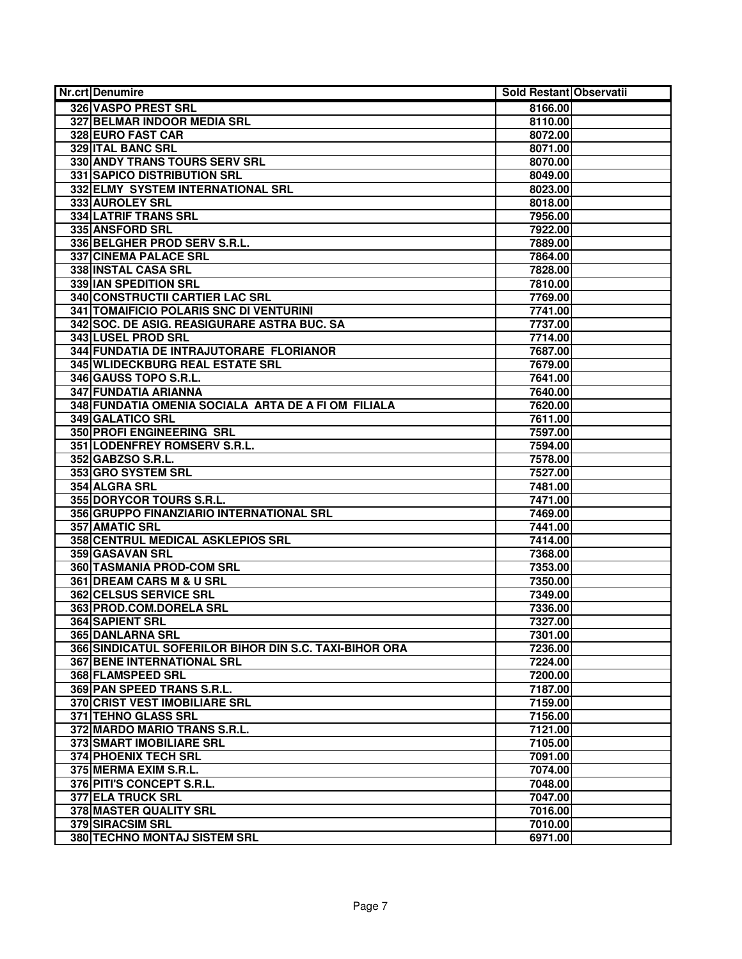| <b>Nr.crt Denumire</b>                                 | Sold Restant Observatii |  |
|--------------------------------------------------------|-------------------------|--|
| 326 VASPO PREST SRL                                    | 8166.00                 |  |
| 327 BELMAR INDOOR MEDIA SRL                            | 8110.00                 |  |
| <b>328 EURO FAST CAR</b>                               | 8072.00                 |  |
| <b>329 ITAL BANC SRL</b>                               | 8071.00                 |  |
| 330 ANDY TRANS TOURS SERV SRL                          | 8070.00                 |  |
| <b>331 SAPICO DISTRIBUTION SRL</b>                     | 8049.00                 |  |
| 332 ELMY SYSTEM INTERNATIONAL SRL                      | 8023.00                 |  |
| 333 AUROLEY SRL                                        | 8018.00                 |  |
| 334 LATRIF TRANS SRL                                   | 7956.00                 |  |
| 335 ANSFORD SRL                                        | 7922.00                 |  |
| 336 BELGHER PROD SERV S.R.L.                           | 7889.00                 |  |
| 337 CINEMA PALACE SRL                                  | 7864.00                 |  |
| 338 INSTAL CASA SRL                                    | 7828.00                 |  |
| 339 IAN SPEDITION SRL                                  | 7810.00                 |  |
| <b>340 CONSTRUCTII CARTIER LAC SRL</b>                 | 7769.00                 |  |
| 341 TOMAIFICIO POLARIS SNC DI VENTURINI                | 7741.00                 |  |
| 342 SOC. DE ASIG. REASIGURARE ASTRA BUC. SA            | 7737.00                 |  |
| 343 LUSEL PROD SRL                                     | 7714.00                 |  |
| 344 FUNDATIA DE INTRAJUTORARE FLORIANOR                | 7687.00                 |  |
| 345 WLIDECKBURG REAL ESTATE SRL                        | 7679.00                 |  |
| 346 GAUSS TOPO S.R.L.                                  | 7641.00                 |  |
| 347 FUNDATIA ARIANNA                                   | 7640.00                 |  |
| 348 FUNDATIA OMENIA SOCIALA ARTA DE A FI OM FILIALA    | 7620.00                 |  |
| <b>349 GALATICO SRL</b>                                | 7611.00                 |  |
| 350 PROFI ENGINEERING SRL                              | 7597.00                 |  |
| 351 LODENFREY ROMSERV S.R.L.                           | 7594.00                 |  |
| 352 GABZSO S.R.L.                                      | 7578.00                 |  |
| 353 GRO SYSTEM SRL                                     | 7527.00                 |  |
| 354 ALGRA SRL                                          | 7481.00                 |  |
| 355 DORYCOR TOURS S.R.L.                               | 7471.00                 |  |
| 356 GRUPPO FINANZIARIO INTERNATIONAL SRL               | 7469.00                 |  |
| 357 AMATIC SRL                                         | 7441.00                 |  |
| 358 CENTRUL MEDICAL ASKLEPIOS SRL                      | 7414.00                 |  |
| 359 GASAVAN SRL                                        | 7368.00                 |  |
| 360 TASMANIA PROD-COM SRL                              | 7353.00                 |  |
| 361 DREAM CARS M & U SRL                               | 7350.00                 |  |
| 362 CELSUS SERVICE SRL                                 | 7349.00                 |  |
| 363 PROD.COM.DORELA SRL                                | 7336.00                 |  |
| <b>364 SAPIENT SRL</b>                                 | 7327.00                 |  |
| <b>365 DANLARNA SRL</b>                                | 7301.00                 |  |
| 366 SINDICATUL SOFERILOR BIHOR DIN S.C. TAXI-BIHOR ORA | 7236.00                 |  |
| <b>367 BENE INTERNATIONAL SRL</b>                      | 7224.00                 |  |
| 368 FLAMSPEED SRL                                      | 7200.00                 |  |
| 369 PAN SPEED TRANS S.R.L.                             | 7187.00                 |  |
| 370 CRIST VEST IMOBILIARE SRL                          | 7159.00                 |  |
| 371 TEHNO GLASS SRL                                    | 7156.00                 |  |
| 372 MARDO MARIO TRANS S.R.L.                           | 7121.00                 |  |
| 373 SMART IMOBILIARE SRL                               | 7105.00                 |  |
| <b>374 PHOENIX TECH SRL</b>                            | 7091.00                 |  |
| 375 MERMA EXIM S.R.L.                                  | 7074.00                 |  |
| 376 PITI'S CONCEPT S.R.L.                              | 7048.00                 |  |
| <b>377 ELA TRUCK SRL</b>                               | 7047.00                 |  |
| <b>378 MASTER QUALITY SRL</b>                          | 7016.00                 |  |
| <b>379 SIRACSIM SRL</b>                                | 7010.00                 |  |
| <b>380 TECHNO MONTAJ SISTEM SRL</b>                    | 6971.00                 |  |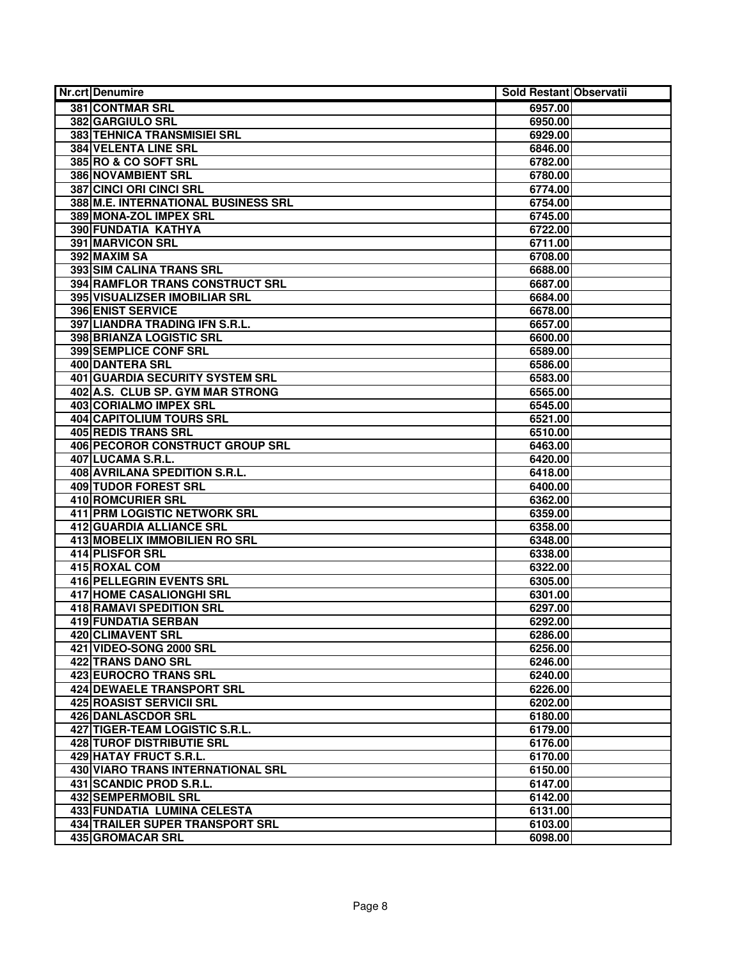| <b>Nr.crt Denumire</b>                 | Sold Restant Observatii |  |
|----------------------------------------|-------------------------|--|
| <b>381 CONTMAR SRL</b>                 | 6957.00                 |  |
| <b>382 GARGIULO SRL</b>                | 6950.00                 |  |
| <b>383 TEHNICA TRANSMISIEI SRL</b>     | 6929.00                 |  |
| <b>384 VELENTA LINE SRL</b>            | 6846.00                 |  |
| 385 RO & CO SOFT SRL                   | 6782.00                 |  |
| <b>386 NOVAMBIENT SRL</b>              | 6780.00                 |  |
| 387 CINCI ORI CINCI SRL                | 6774.00                 |  |
| 388 M.E. INTERNATIONAL BUSINESS SRL    | 6754.00                 |  |
| 389 MONA-ZOL IMPEX SRL                 | 6745.00                 |  |
| 390 FUNDATIA KATHYA                    | 6722.00                 |  |
| <b>391 MARVICON SRL</b>                | 6711.00                 |  |
| 392 MAXIM SA                           | 6708.00                 |  |
| 393 SIM CALINA TRANS SRL               | 6688.00                 |  |
| 394 RAMFLOR TRANS CONSTRUCT SRL        | 6687.00                 |  |
| 395 VISUALIZSER IMOBILIAR SRL          | 6684.00                 |  |
| 396 ENIST SERVICE                      | 6678.00                 |  |
| 397 LIANDRA TRADING IFN S.R.L.         | 6657.00                 |  |
| <b>398 BRIANZA LOGISTIC SRL</b>        | 6600.00                 |  |
| <b>399 SEMPLICE CONF SRL</b>           | 6589.00                 |  |
| <b>400 DANTERA SRL</b>                 | 6586.00                 |  |
| 401 GUARDIA SECURITY SYSTEM SRL        | 6583.00                 |  |
| 402 A.S. CLUB SP. GYM MAR STRONG       | 6565.00                 |  |
| 403 CORIALMO IMPEX SRL                 | 6545.00                 |  |
| <b>404 CAPITOLIUM TOURS SRL</b>        | 6521.00                 |  |
| 405 REDIS TRANS SRL                    | 6510.00                 |  |
| 406 PECOROR CONSTRUCT GROUP SRL        | 6463.00                 |  |
| 407 LUCAMA S.R.L.                      | 6420.00                 |  |
| 408 AVRILANA SPEDITION S.R.L.          | 6418.00                 |  |
| 409 TUDOR FOREST SRL                   | 6400.00                 |  |
| 410 ROMCURIER SRL                      | 6362.00                 |  |
| <b>411 PRM LOGISTIC NETWORK SRL</b>    | 6359.00                 |  |
| <b>412 GUARDIA ALLIANCE SRL</b>        | 6358.00                 |  |
| 413 MOBELIX IMMOBILIEN RO SRL          | 6348.00                 |  |
| 414 PLISFOR SRL                        | 6338.00                 |  |
| 415 ROXAL COM                          | 6322.00                 |  |
| <b>416 PELLEGRIN EVENTS SRL</b>        | 6305.00                 |  |
| 417 HOME CASALIONGHI SRL               | 6301.00                 |  |
| <b>418 RAMAVI SPEDITION SRL</b>        | 6297.00                 |  |
| 419 FUNDATIA SERBAN                    | 6292.00                 |  |
| 420 CLIMAVENT SRL                      | 6286.00                 |  |
| 421 VIDEO-SONG 2000 SRL                | 6256.00                 |  |
| 422 TRANS DANO SRL                     | 6246.00                 |  |
| 423 EUROCRO TRANS SRL                  | 6240.00                 |  |
| <b>424 DEWAELE TRANSPORT SRL</b>       | 6226.00                 |  |
| 425 ROASIST SERVICII SRL               | 6202.00                 |  |
| 426 DANLASCDOR SRL                     | 6180.00                 |  |
| 427 TIGER-TEAM LOGISTIC S.R.L.         | 6179.00                 |  |
| <b>428 TUROF DISTRIBUTIE SRL</b>       | 6176.00                 |  |
| <b>429 HATAY FRUCT S.R.L.</b>          | 6170.00                 |  |
| 430 VIARO TRANS INTERNATIONAL SRL      | 6150.00                 |  |
| 431 SCANDIC PROD S.R.L.                | 6147.00                 |  |
| <b>432 SEMPERMOBIL SRL</b>             | 6142.00                 |  |
| 433 FUNDATIA LUMINA CELESTA            | 6131.00                 |  |
| <b>434 TRAILER SUPER TRANSPORT SRL</b> | 6103.00                 |  |
| 435 GROMACAR SRL                       | 6098.00                 |  |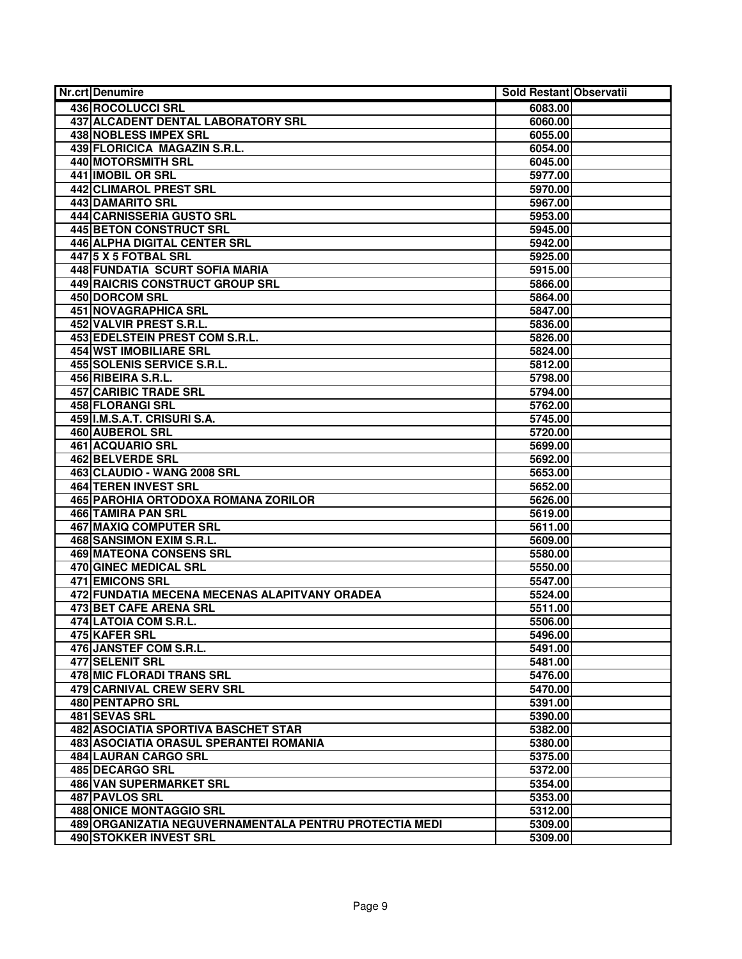| <b>Nr.crt Denumire</b>                                 | Sold Restant Observatii |  |
|--------------------------------------------------------|-------------------------|--|
| 436 ROCOLUCCI SRL                                      | 6083.00                 |  |
| 437 ALCADENT DENTAL LABORATORY SRL                     | 6060.00                 |  |
| <b>438 NOBLESS IMPEX SRL</b>                           | 6055.00                 |  |
| 439 FLORICICA MAGAZIN S.R.L.                           | 6054.00                 |  |
| 440 MOTORSMITH SRL                                     | 6045.00                 |  |
| <b>441 IMOBIL OR SRL</b>                               | 5977.00                 |  |
| 442 CLIMAROL PREST SRL                                 | 5970.00                 |  |
| 443 DAMARITO SRL                                       | 5967.00                 |  |
| 444 CARNISSERIA GUSTO SRL                              | 5953.00                 |  |
| 445 BETON CONSTRUCT SRL                                | 5945.00                 |  |
| <b>446 ALPHA DIGITAL CENTER SRL</b>                    | 5942.00                 |  |
| 447 5 X 5 FOTBAL SRL                                   | 5925.00                 |  |
| 448 FUNDATIA SCURT SOFIA MARIA                         | 5915.00                 |  |
| 449 RAICRIS CONSTRUCT GROUP SRL                        | 5866.00                 |  |
| 450 DORCOM SRL                                         | 5864.00                 |  |
| 451 NOVAGRAPHICA SRL                                   | 5847.00                 |  |
| 452 VALVIR PREST S.R.L.                                | 5836.00                 |  |
| 453 EDELSTEIN PREST COM S.R.L.                         | 5826.00                 |  |
| <b>454 WST IMOBILIARE SRL</b>                          | 5824.00                 |  |
| 455 SOLENIS SERVICE S.R.L.                             | 5812.00                 |  |
| 456 RIBEIRA S.R.L.                                     | 5798.00                 |  |
| 457 CARIBIC TRADE SRL                                  | 5794.00                 |  |
| 458 FLORANGI SRL                                       | 5762.00                 |  |
| 459 I.M.S.A.T. CRISURI S.A.                            | 5745.00                 |  |
| 460 AUBEROL SRL                                        | 5720.00                 |  |
| <b>461 ACQUARIO SRL</b>                                | 5699.00                 |  |
| <b>462 BELVERDE SRL</b>                                | 5692.00                 |  |
| 463 CLAUDIO - WANG 2008 SRL                            | 5653.00                 |  |
| 464 TEREN INVEST SRL                                   | 5652.00                 |  |
| 465 PAROHIA ORTODOXA ROMANA ZORILOR                    | 5626.00                 |  |
| 466 TAMIRA PAN SRL                                     | 5619.00                 |  |
| <b>467 MAXIQ COMPUTER SRL</b>                          | 5611.00                 |  |
| 468 SANSIMON EXIM S.R.L.                               | 5609.00                 |  |
| <b>469 MATEONA CONSENS SRL</b>                         | 5580.00                 |  |
| <b>470 GINEC MEDICAL SRL</b>                           | 5550.00                 |  |
| <b>471 EMICONS SRL</b>                                 | 5547.00                 |  |
| 472 FUNDATIA MECENA MECENAS ALAPITVANY ORADEA          | 5524.00                 |  |
| 473 BET CAFE ARENA SRL                                 | 5511.00                 |  |
| 474 LATOIA COM S.R.L.                                  | 5506.00                 |  |
| 475 KAFER SRL                                          | 5496.00                 |  |
| 476 JANSTEF COM S.R.L.                                 | 5491.00                 |  |
| 477 SELENIT SRL                                        | 5481.00                 |  |
| 478 MIC FLORADI TRANS SRL                              | 5476.00                 |  |
| <b>479 CARNIVAL CREW SERV SRL</b>                      | 5470.00                 |  |
| 480 PENTAPRO SRL                                       | 5391.00                 |  |
| 481 SEVAS SRL                                          | 5390.00                 |  |
| 482 ASOCIATIA SPORTIVA BASCHET STAR                    | 5382.00                 |  |
| <b>483 ASOCIATIA ORASUL SPERANTEI ROMANIA</b>          | 5380.00                 |  |
| 484 LAURAN CARGO SRL                                   | 5375.00                 |  |
| 485 DECARGO SRL                                        | 5372.00                 |  |
| 486 VAN SUPERMARKET SRL                                | 5354.00                 |  |
| 487 PAVLOS SRL                                         | 5353.00                 |  |
| <b>488 ONICE MONTAGGIO SRL</b>                         | 5312.00                 |  |
| 489 ORGANIZATIA NEGUVERNAMENTALA PENTRU PROTECTIA MEDI | 5309.00                 |  |
| 490 STOKKER INVEST SRL                                 | 5309.00                 |  |